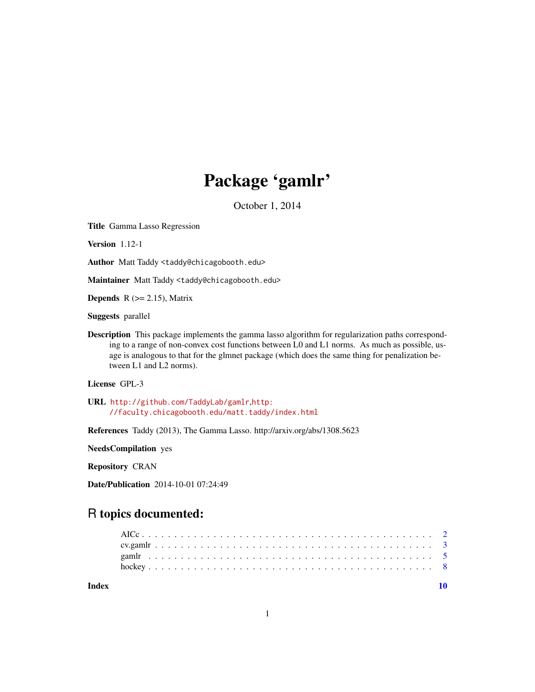## Package 'gamlr'

October 1, 2014

Title Gamma Lasso Regression

Version 1.12-1

Author Matt Taddy <taddy@chicagobooth.edu>

Maintainer Matt Taddy <taddy@chicagobooth.edu>

**Depends** R  $(>= 2.15)$ , Matrix

Suggests parallel

Description This package implements the gamma lasso algorithm for regularization paths corresponding to a range of non-convex cost functions between L0 and L1 norms. As much as possible, usage is analogous to that for the glmnet package (which does the same thing for penalization between L1 and L2 norms).

License GPL-3

URL <http://github.com/TaddyLab/gamlr>,[http:](http://faculty.chicagobooth.edu/matt.taddy/index.html) [//faculty.chicagobooth.edu/matt.taddy/index.html](http://faculty.chicagobooth.edu/matt.taddy/index.html)

References Taddy (2013), The Gamma Lasso. http://arxiv.org/abs/1308.5623

NeedsCompilation yes

Repository CRAN

Date/Publication 2014-10-01 07:24:49

## R topics documented:

 $\blacksquare$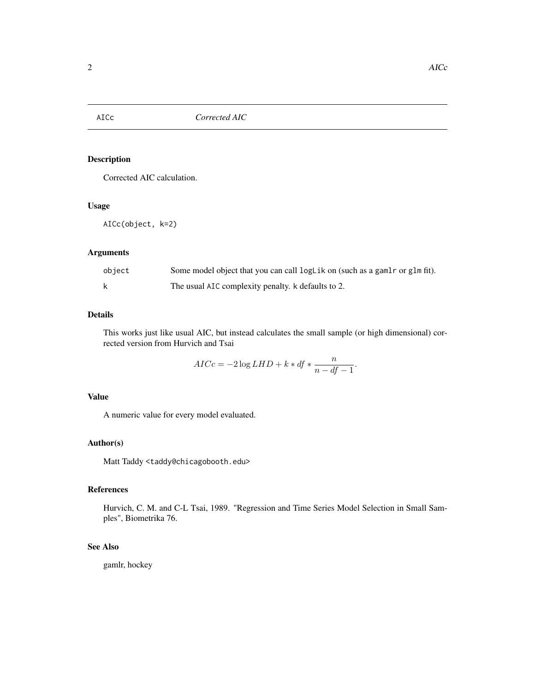<span id="page-1-0"></span>

## Description

Corrected AIC calculation.

## Usage

AICc(object, k=2)

## Arguments

| object | Some model object that you can call logLik on (such as a gamlr or glm fit). |
|--------|-----------------------------------------------------------------------------|
|        | The usual AIC complexity penalty. k defaults to 2.                          |

## Details

This works just like usual AIC, but instead calculates the small sample (or high dimensional) corrected version from Hurvich and Tsai

$$
AICc = -2\log LHD + k * df * \frac{n}{n - df - 1}.
$$

## Value

A numeric value for every model evaluated.

## Author(s)

Matt Taddy <taddy@chicagobooth.edu>

## References

Hurvich, C. M. and C-L Tsai, 1989. "Regression and Time Series Model Selection in Small Samples", Biometrika 76.

## See Also

gamlr, hockey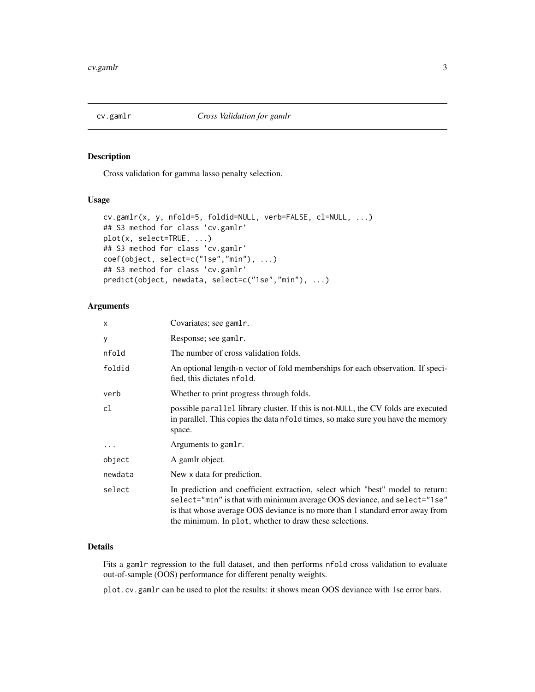<span id="page-2-0"></span>

#### Description

Cross validation for gamma lasso penalty selection.

## Usage

```
cv.gamlr(x, y, nfold=5, foldid=NULL, verb=FALSE, cl=NULL, ...)
## S3 method for class 'cv.gamlr'
plot(x, select=TRUE, ...)
## S3 method for class 'cv.gamlr'
coef(object, select=c("1se","min"), ...)
## S3 method for class 'cv.gamlr'
predict(object, newdata, select=c("1se","min"), ...)
```
## Arguments

| x        | Covariates; see gamlr.                                                                                                                                                                                                                                                                                 |
|----------|--------------------------------------------------------------------------------------------------------------------------------------------------------------------------------------------------------------------------------------------------------------------------------------------------------|
| У        | Response; see gamlr.                                                                                                                                                                                                                                                                                   |
| nfold    | The number of cross validation folds.                                                                                                                                                                                                                                                                  |
| foldid   | An optional length-n vector of fold memberships for each observation. If speci-<br>fied, this dictates nfold.                                                                                                                                                                                          |
| verb     | Whether to print progress through folds.                                                                                                                                                                                                                                                               |
| cl       | possible parallel library cluster. If this is not-NULL, the CV folds are executed<br>in parallel. This copies the data nfold times, so make sure you have the memory<br>space.                                                                                                                         |
| $\cdots$ | Arguments to gamlr.                                                                                                                                                                                                                                                                                    |
| object   | A gamlr object.                                                                                                                                                                                                                                                                                        |
| newdata  | New x data for prediction.                                                                                                                                                                                                                                                                             |
| select   | In prediction and coefficient extraction, select which "best" model to return:<br>select="min" is that with minimum average OOS deviance, and select="1se"<br>is that whose average OOS deviance is no more than 1 standard error away from<br>the minimum. In plot, whether to draw these selections. |

## Details

Fits a gamlr regression to the full dataset, and then performs nfold cross validation to evaluate out-of-sample (OOS) performance for different penalty weights.

plot.cv.gamlr can be used to plot the results: it shows mean OOS deviance with 1se error bars.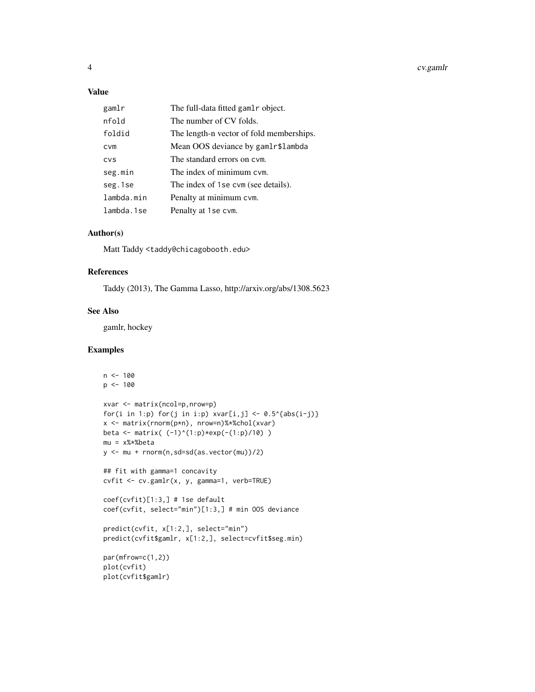## Value

| gamlr      | The full-data fitted gamlr object.       |
|------------|------------------------------------------|
| nfold      | The number of CV folds.                  |
| foldid     | The length-n vector of fold memberships. |
| <b>CVM</b> | Mean OOS deviance by gamlr\$lambda       |
| CVS        | The standard errors on cym.              |
| seg.min    | The index of minimum cym.                |
| seg.1se    | The index of 1 se cvm (see details).     |
| lambda.min | Penalty at minimum cvm.                  |
| lambda.1se | Penalty at 1se cym.                      |

## Author(s)

Matt Taddy <taddy@chicagobooth.edu>

#### References

Taddy (2013), The Gamma Lasso, http://arxiv.org/abs/1308.5623

#### See Also

gamlr, hockey

## Examples

```
n < -100p <- 100
xvar <- matrix(ncol=p,nrow=p)
for(i in 1:p) for(j in i:p) xvar[i,j] < -0.5^{(abs(i-j))}x <- matrix(rnorm(p*n), nrow=n)%*%chol(xvar)
beta <- matrix( (-1)^{(1:p)*exp(-(1:p)/10)} )
mu = x%*%beta
y <- mu + rnorm(n,sd=sd(as.vector(mu))/2)
## fit with gamma=1 concavity
cvfit <- cv.gamlr(x, y, gamma=1, verb=TRUE)
coef(cvfit)[1:3,] # 1se default
coef(cvfit, select="min")[1:3,] # min OOS deviance
predict(cvfit, x[1:2,], select="min")
predict(cvfit$gamlr, x[1:2,], select=cvfit$seg.min)
par(mfrow=c(1,2))
plot(cvfit)
plot(cvfit$gamlr)
```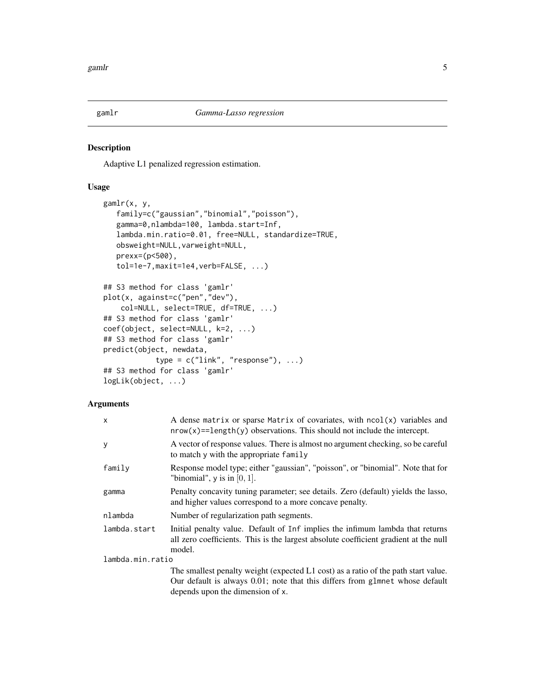<span id="page-4-0"></span>

## Description

Adaptive L1 penalized regression estimation.

## Usage

```
gamlr(x, y,
   family=c("gaussian","binomial","poisson"),
   gamma=0,nlambda=100, lambda.start=Inf,
   lambda.min.ratio=0.01, free=NULL, standardize=TRUE,
   obsweight=NULL,varweight=NULL,
   prexx=(p<500),
   tol=1e-7,maxit=1e4,verb=FALSE, ...)
## S3 method for class 'gamlr'
plot(x, against=c("pen","dev"),
    col=NULL, select=TRUE, df=TRUE, ...)
## S3 method for class 'gamlr'
coef(object, select=NULL, k=2, ...)
## S3 method for class 'gamlr'
predict(object, newdata,
            type = c("link", "response"), ...)## S3 method for class 'gamlr'
logLik(object, ...)
```
## Arguments

| X                | A dense matrix or sparse Matrix of covariates, with $ncol(x)$ variables and<br>$nrow(x) = length(y)$ observations. This should not include the intercept.                       |
|------------------|---------------------------------------------------------------------------------------------------------------------------------------------------------------------------------|
| У                | A vector of response values. There is almost no argument checking, so be careful<br>to match y with the appropriate family                                                      |
| family           | Response model type; either "gaussian", "poisson", or "binomial". Note that for<br>"binomial", $y$ is in [0, 1].                                                                |
| gamma            | Penalty concavity tuning parameter; see details. Zero (default) yields the lasso,<br>and higher values correspond to a more concave penalty.                                    |
| nlambda          | Number of regularization path segments.                                                                                                                                         |
| lambda.start     | Initial penalty value. Default of Inf implies the infimum lambda that returns<br>all zero coefficients. This is the largest absolute coefficient gradient at the null<br>model. |
| lambda.min.ratio |                                                                                                                                                                                 |
|                  | The smallest penalty weight (expected L1 cost) as a ratio of the path start value.                                                                                              |
|                  | Our default is always 0.01; note that this differs from glmnet whose default                                                                                                    |
|                  | depends upon the dimension of x.                                                                                                                                                |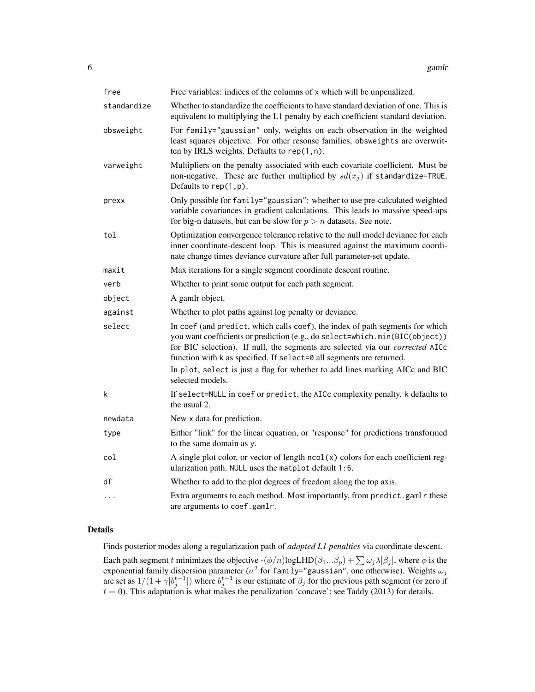| free        | Free variables: indices of the columns of x which will be unpenalized.                                                                                                                                                                                                                                                |
|-------------|-----------------------------------------------------------------------------------------------------------------------------------------------------------------------------------------------------------------------------------------------------------------------------------------------------------------------|
| standardize | Whether to standardize the coefficients to have standard deviation of one. This is<br>equivalent to multiplying the L1 penalty by each coefficient standard deviation.                                                                                                                                                |
| obsweight   | For family="gaussian" only, weights on each observation in the weighted<br>least squares objective. For other resonse families, obsweights are overwrit-<br>ten by IRLS weights. Defaults to rep(1,n).                                                                                                                |
| varweight   | Multipliers on the penalty associated with each covariate coefficient. Must be<br>non-negative. These are further multiplied by $sd(x_i)$ if standardize=TRUE.<br>Defaults to $rep(1,p)$ .                                                                                                                            |
| prexx       | Only possible for family="gaussian": whether to use pre-calculated weighted<br>variable covariances in gradient calculations. This leads to massive speed-ups<br>for big-n datasets, but can be slow for $p > n$ datasets. See note.                                                                                  |
| tol         | Optimization convergence tolerance relative to the null model deviance for each<br>inner coordinate-descent loop. This is measured against the maximum coordi-<br>nate change times deviance curvature after full parameter-set update.                                                                               |
| maxit       | Max iterations for a single segment coordinate descent routine.                                                                                                                                                                                                                                                       |
| verb        | Whether to print some output for each path segment.                                                                                                                                                                                                                                                                   |
| object      | A gamlr object.                                                                                                                                                                                                                                                                                                       |
| against     | Whether to plot paths against log penalty or deviance.                                                                                                                                                                                                                                                                |
| select      | In coef (and predict, which calls coef), the index of path segments for which<br>you want coefficients or prediction (e.g., do select=which.min(BIC(object))<br>for BIC selection). If null, the segments are selected via our corrected AICc<br>function with k as specified. If select=0 all segments are returned. |
|             | In plot, select is just a flag for whether to add lines marking AICc and BIC<br>selected models.                                                                                                                                                                                                                      |
| k           | If select=NULL in coef or predict, the AICc complexity penalty. k defaults to<br>the usual 2.                                                                                                                                                                                                                         |
| newdata     | New x data for prediction.                                                                                                                                                                                                                                                                                            |
| type        | Either "link" for the linear equation, or "response" for predictions transformed<br>to the same domain as y.                                                                                                                                                                                                          |
| col         | A single plot color, or vector of length $ncol(x)$ colors for each coefficient reg-<br>ularization path. NULL uses the matplot default 1:6.                                                                                                                                                                           |
| df          | Whether to add to the plot degrees of freedom along the top axis.                                                                                                                                                                                                                                                     |
| $\cdots$    | Extra arguments to each method. Most importantly, from predict.gamlr these<br>are arguments to coef.gamlr.                                                                                                                                                                                                            |

## Details

Finds posterior modes along a regularization path of *adapted L1 penalties* via coordinate descent.

Each path segment t minimizes the objective  $-(\phi/n)$ logLHD $(\beta_1...\beta_p) + \sum \omega_j \lambda |\beta_j|$ , where  $\phi$  is the exponential family dispersion parameter ( $\sigma^2$  for family="gaussian", one otherwise). Weights  $\omega_j$ are set as  $1/(1 + \gamma |b_j^{t-1}|)$  where  $b_j^{t-1}$  is our estimate of  $\beta_j$  for the previous path segment (or zero if  $t = 0$ ). This adaptation is what makes the penalization 'concave'; see Taddy (2013) for details.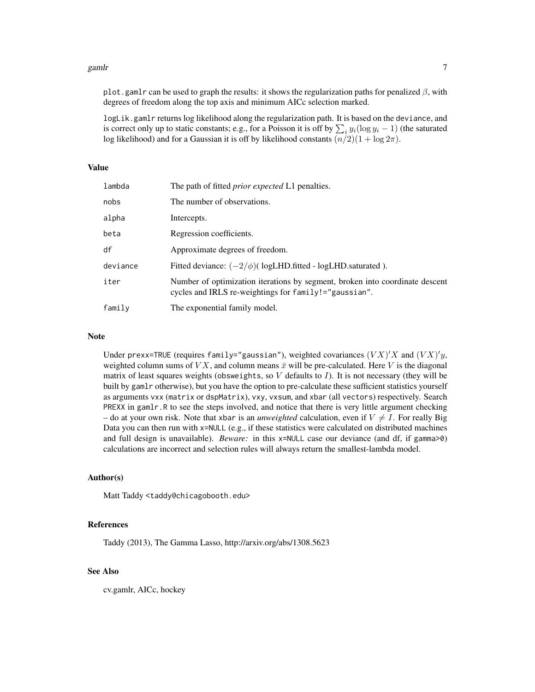#### $gamma$  and  $\sim$  7 and  $\sim$  7 and  $\sim$  7 and  $\sim$  7 and  $\sim$  7 and  $\sim$  7 and  $\sim$  7 and  $\sim$  7 and  $\sim$  7 and  $\sim$  7 and  $\sim$  7 and  $\sim$  7 and  $\sim$  7 and  $\sim$  7 and  $\sim$  7 and  $\sim$  7 and  $\sim$  7 and  $\sim$  7 and  $\sim$  7 and  $\sim$

plot.gamlr can be used to graph the results: it shows the regularization paths for penalized  $\beta$ , with degrees of freedom along the top axis and minimum AICc selection marked.

logLik.gamlr returns log likelihood along the regularization path. It is based on the deviance, and is correct only up to static constants; e.g., for a Poisson it is off by  $\sum_i y_i(\log y_i - 1)$  (the saturated log likelihood) and for a Gaussian it is off by likelihood constants  $(n/2)(1 + \log 2\pi)$ .

#### Value

| lambda   | The path of fitted <i>prior expected</i> L1 penalties.                                                                                |
|----------|---------------------------------------------------------------------------------------------------------------------------------------|
| nobs     | The number of observations.                                                                                                           |
| alpha    | Intercepts.                                                                                                                           |
| beta     | Regression coefficients.                                                                                                              |
| df       | Approximate degrees of freedom.                                                                                                       |
| deviance | Fitted deviance: $(-2/\phi)$ logLHD.fitted - logLHD.saturated ).                                                                      |
| iter     | Number of optimization iterations by segment, broken into coordinate descent<br>cycles and IRLS re-weightings for family!="gaussian". |
| family   | The exponential family model.                                                                                                         |

#### Note

Under prexx=TRUE (requires family="gaussian"), weighted covariances  $(VX)'X$  and  $(VX)'y$ , weighted column sums of  $V X$ , and column means  $\bar{x}$  will be pre-calculated. Here V is the diagonal matrix of least squares weights (obsweights, so  $V$  defaults to  $I$ ). It is not necessary (they will be built by gamlr otherwise), but you have the option to pre-calculate these sufficient statistics yourself as arguments vxx (matrix or dspMatrix), vxy, vxsum, and xbar (all vectors) respectively. Search PREXX in gamlr.R to see the steps involved, and notice that there is very little argument checking – do at your own risk. Note that xbar is an *unweighted* calculation, even if  $V \neq I$ . For really Big Data you can then run with x=NULL (e.g., if these statistics were calculated on distributed machines and full design is unavailable). *Beware:* in this x=NULL case our deviance (and df, if gamma>0) calculations are incorrect and selection rules will always return the smallest-lambda model.

## Author(s)

Matt Taddy <taddy@chicagobooth.edu>

## References

Taddy (2013), The Gamma Lasso, http://arxiv.org/abs/1308.5623

#### See Also

cv.gamlr, AICc, hockey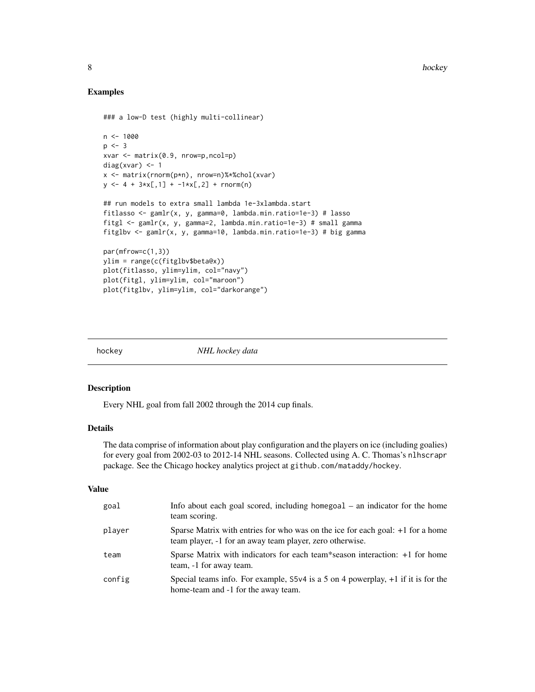## Examples

```
### a low-D test (highly multi-collinear)
n < -1000p \le -3xvar <- matrix(0.9, nrow=p,ncol=p)
diag(xvar) <- 1
x <- matrix(rnorm(p*n), nrow=n)%*%chol(xvar)
y \le -4 + 3*x[, 1] + -1*x[, 2] + rnorm(n)## run models to extra small lambda 1e-3xlambda.start
fitlasso <- gamlr(x, y, gamma=0, lambda.min.ratio=1e-3) # lasso
fitgl <- gamlr(x, y, gamma=2, lambda.min.ratio=1e-3) # small gamma
fitglbv <- gamlr(x, y, gamma=10, lambda.min.ratio=1e-3) # big gamma
par(mfrow=c(1,3))
ylim = range(c(fitglbv$beta@x))
plot(fitlasso, ylim=ylim, col="navy")
plot(fitgl, ylim=ylim, col="maroon")
plot(fitglbv, ylim=ylim, col="darkorange")
```
hockey *NHL hockey data*

## Description

Every NHL goal from fall 2002 through the 2014 cup finals.

## Details

The data comprise of information about play configuration and the players on ice (including goalies) for every goal from 2002-03 to 2012-14 NHL seasons. Collected using A. C. Thomas's nlhscrapr package. See the Chicago hockey analytics project at github.com/mataddy/hockey.

## Value

| goal   | Info about each goal scored, including homegoal $-$ an indicator for the home<br>team scoring.                                               |
|--------|----------------------------------------------------------------------------------------------------------------------------------------------|
| player | Sparse Matrix with entries for who was on the ice for each goal: +1 for a home<br>team player, $-1$ for an away team player, zero otherwise. |
| team   | Sparse Matrix with indicators for each team*season interaction: $+1$ for home<br>team, -1 for away team.                                     |
| config | Special teams info. For example, $5\sqrt{4}$ is a 5 on 4 powerplay, $+1$ if it is for the<br>home-team and -1 for the away team.             |

<span id="page-7-0"></span>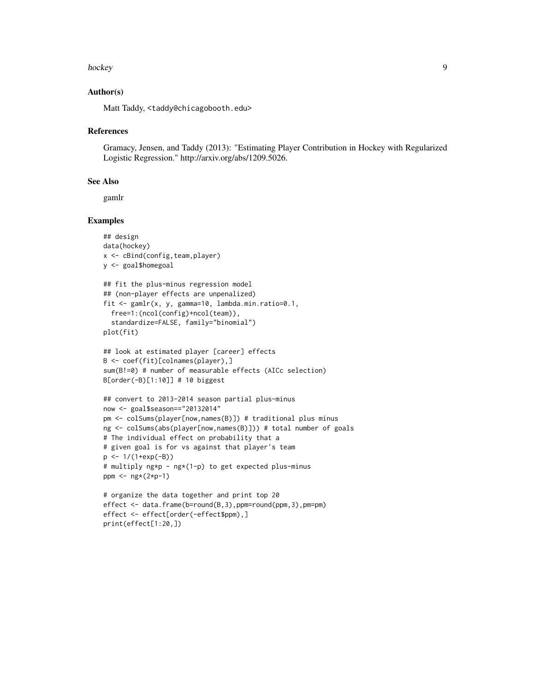#### hockey 9

## Author(s)

Matt Taddy, <taddy@chicagobooth.edu>

#### References

Gramacy, Jensen, and Taddy (2013): "Estimating Player Contribution in Hockey with Regularized Logistic Regression." http://arxiv.org/abs/1209.5026.

#### See Also

gamlr

### Examples

```
## design
data(hockey)
x <- cBind(config,team,player)
y <- goal$homegoal
## fit the plus-minus regression model
## (non-player effects are unpenalized)
```

```
fit <- gamlr(x, y, gamma=10, lambda.min.ratio=0.1,
 free=1:(ncol(config)+ncol(team)),
 standardize=FALSE, family="binomial")
plot(fit)
```

```
## look at estimated player [career] effects
B <- coef(fit)[colnames(player),]
sum(B!=0) # number of measurable effects (AICc selection)
B[order(-B)[1:10]] # 10 biggest
```

```
## convert to 2013-2014 season partial plus-minus
now <- goal$season=="20132014"
pm <- colSums(player[now,names(B)]) # traditional plus minus
ng <- colSums(abs(player[now,names(B)])) # total number of goals
# The individual effect on probability that a
# given goal is for vs against that player's team
p \le -1/(1+exp(-B))# multiply ng*p - ng*(1-p) to get expected plus-minus
ppm <- ng*(2*p-1)
```

```
# organize the data together and print top 20
effect <- data.frame(b=round(B,3),ppm=round(ppm,3),pm=pm)
effect <- effect[order(-effect$ppm),]
print(effect[1:20,])
```